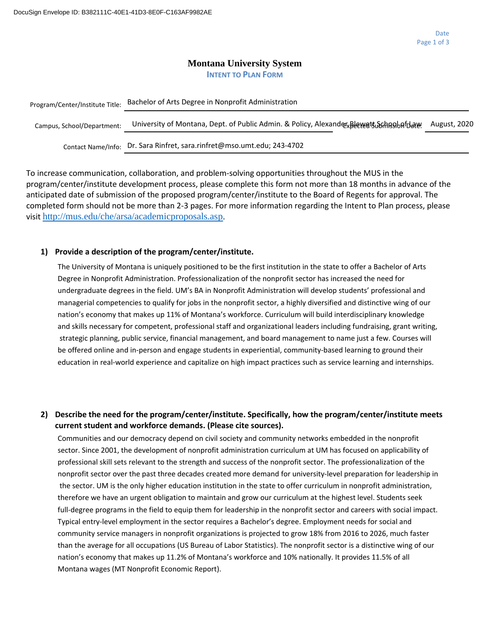### **Montana University System INTENT TO PLAN FORM**

| Program/Center/Institute Title: | Bachelor of Arts Degree in Nonprofit Administration                                    |                     |  |  |  |
|---------------------------------|----------------------------------------------------------------------------------------|---------------------|--|--|--|
| Campus, School/Department:      | University of Montana, Dept. of Public Admin. & Policy, AlexanderxBlewett Schngsbafdaw | <b>August, 2020</b> |  |  |  |
|                                 | Contact Name/Info: Dr. Sara Rinfret, sara.rinfret@mso.umt.edu; 243-4702                |                     |  |  |  |

To increase communication, collaboration, and problem-solving opportunities throughout the MUS in the program/center/institute development process, please complete this form not more than 18 months in advance of the anticipated date of submission of the proposed program/center/institute to the Board of Regents for approval. The completed form should not be more than 2-3 pages. For more information regarding the Intent to Plan process, please visit <http://mus.edu/che/arsa/academicproposals.asp>.

### **1) Provide a description of the program/center/institute.**

The University of Montana is uniquely positioned to be the first institution in the state to offer a Bachelor of Arts Degree in Nonprofit Administration. Professionalization of the nonprofit sector has increased the need for undergraduate degrees in the field. UM's BA in Nonprofit Administration will develop students' professional and managerial competencies to qualify for jobs in the nonprofit sector, a highly diversified and distinctive wing of our nation's economy that makes up 11% of Montana's workforce. Curriculum will build interdisciplinary knowledge and skills necessary for competent, professional staff and organizational leaders including fundraising, grant writing, strategic planning, public service, financial management, and board management to name just a few. Courses will be offered online and in-person and engage students in experiential, community-based learning to ground their education in real-world experience and capitalize on high impact practices such as service learning and internships.

**2) Describe the need for the program/center/institute. Specifically, how the program/center/institute meets current student and workforce demands. (Please cite sources).**

Communities and our democracy depend on civil society and community networks embedded in the nonprofit sector. Since 2001, the development of nonprofit administration curriculum at UM has focused on applicability of professional skill sets relevant to the strength and success of the nonprofit sector. The professionalization of the nonprofit sector over the past three decades created more demand for university-level preparation for leadership in the sector. UM is the only higher education institution in the state to offer curriculum in nonprofit administration, therefore we have an urgent obligation to maintain and grow our curriculum at the highest level. Students seek full-degree programs in the field to equip them for leadership in the nonprofit sector and careers with social impact. Typical entry-level employment in the sector requires a Bachelor's degree. Employment needs for social and community service managers in nonprofit organizations is projected to grow 18% from 2016 to 2026, much faster than the average for all occupations (US Bureau of Labor Statistics). The nonprofit sector is a distinctive wing of our nation's economy that makes up 11.2% of Montana's workforce and 10% nationally. It provides 11.5% of all Montana wages (MT Nonprofit Economic Report).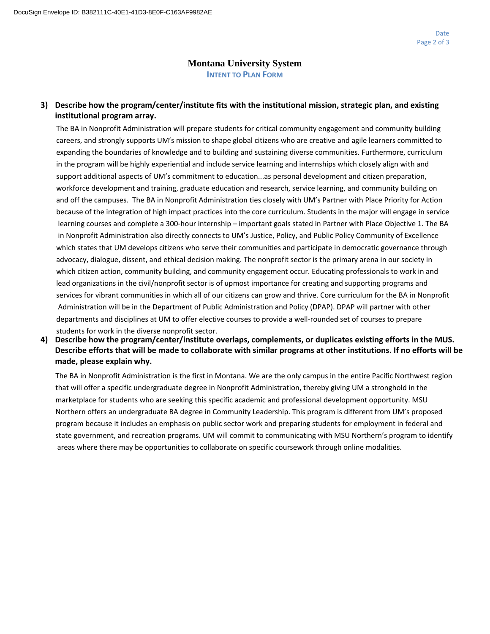## **Montana University System INTENT TO PLAN FORM**

## **3) Describe how the program/center/institute fits with the institutional mission, strategic plan, and existing institutional program array.**

The BA in Nonprofit Administration will prepare students for critical community engagement and community building careers, and strongly supports UM's mission to shape global citizens who are creative and agile learners committed to expanding the boundaries of knowledge and to building and sustaining diverse communities. Furthermore, curriculum in the program will be highly experiential and include service learning and internships which closely align with and support additional aspects of UM's commitment to education...as personal development and citizen preparation, workforce development and training, graduate education and research, service learning, and community building on and off the campuses. The BA in Nonprofit Administration ties closely with UM's Partner with Place Priority for Action because of the integration of high impact practices into the core curriculum. Students in the major will engage in service learning courses and complete a 300-hour internship – important goals stated in Partner with Place Objective 1. The BA in Nonprofit Administration also directly connects to UM's Justice, Policy, and Public Policy Community of Excellence which states that UM develops citizens who serve their communities and participate in democratic governance through advocacy, dialogue, dissent, and ethical decision making. The nonprofit sector is the primary arena in our society in which citizen action, community building, and community engagement occur. Educating professionals to work in and lead organizations in the civil/nonprofit sector is of upmost importance for creating and supporting programs and services for vibrant communities in which all of our citizens can grow and thrive. Core curriculum for the BA in Nonprofit Administration will be in the Department of Public Administration and Policy (DPAP). DPAP will partner with other departments and disciplines at UM to offer elective courses to provide a well-rounded set of courses to prepare students for work in the diverse nonprofit sector.

**4) Describe how the program/center/institute overlaps, complements, or duplicates existing efforts in the MUS. Describe efforts that will be made to collaborate with similar programs at other institutions. If no efforts will be made, please explain why.**

The BA in Nonprofit Administration is the first in Montana. We are the only campus in the entire Pacific Northwest region that will offer a specific undergraduate degree in Nonprofit Administration, thereby giving UM a stronghold in the marketplace for students who are seeking this specific academic and professional development opportunity. MSU Northern offers an undergraduate BA degree in Community Leadership. This program is different from UM's proposed program because it includes an emphasis on public sector work and preparing students for employment in federal and state government, and recreation programs. UM will commit to communicating with MSU Northern's program to identify areas where there may be opportunities to collaborate on specific coursework through online modalities.